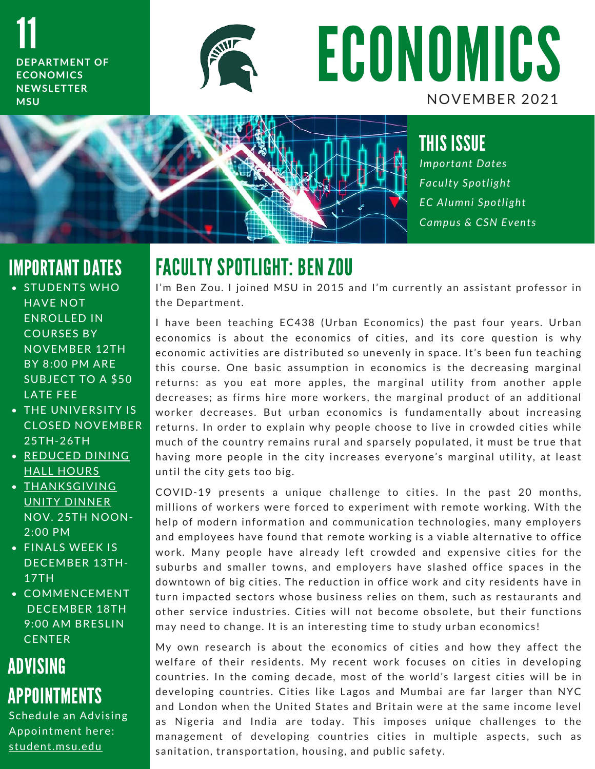11 **DEPARTMENT OF E C O N O M I C S N E W S L E T T E R M S U**



ECONOMICS NOVEMBER 2021



THIS ISSUE *I m p o r t a n t D a t e s F a c u l t y S p o t l i g h t E C A l u m n i S p o t l i g h t Campus & CSN Events* 

## IMPORTANT DATES

- STUDENTS WHO **HAVE NOT** ENROLLED IN **COURSES BY NOVEMBER 12TH BY 8:00 PM ARE** SUBJECT TO A \$50 LATE FEE
- THE UNIVERSITY IS **CLOSED NOVEMBER** 25 TH - 26 TH
- **REDUCED DINING** HALL HOURS
- $\overline{\phantom{a}}$  THANKSGIVING UNITY DINNER **NOV. 25TH NOON-**2:00 PM
- FINALS WEEK IS DECEMBER 13TH-17TH
- **COMMENCEMENT** DECEMBER 18TH 9:00 AM BRESLIN **CENTER**

# ADVISING APPOINTMENTS

Schedule an Advising Appointment here: student.msu.edu

# FACULTY SPOTLIGHT: BENZOU

**I AUULII DYUILIUNI. DEN ZUU**<br>I'm Ben Zou. I joined MSU in 2015 and I'm currently an assistant professor in I'm Ben Zou. I joi<br>the Department.

the Department.<br>I have been teaching EC438 (Urban Economics) the past four years. Urban I have been teaching EC438 (Urban Economics) the past four years. Urban<br>economics is about the economics of cities, and its core question is why economics is about the economics of cities, and its core question is why<br>economic activities are distributed so unevenly in space. It's been fun teaching economic activities are distributed so unevenly in space. It's been fun teaching<br>this course. One basic assumption in economics is the decreasing marginal this course. One basic assumption in economics is the decreasing marginal<br>returns: as you eat more apples, the marginal utility from another apple returns: as you eat more apples, the marginal utility from another apple<br>decreases; as firms hire more workers, the marginal product of an additional decreases; as firms hire more workers, the marginal product of an additional<br>worker decreases. But urban economics is fundamentally about increasing worker decreases. But urban economics is fundamentally about increasing<br>returns. In order to explain why people choose to live in crowded cities while much of the country remains rural and sparsely populated, it must be true that much of the country remains rural and sparsely populated, it must be true that<br>having more people in the city increases everyone's marginal utility, at least having more people in the<br>until the city gets too big.

until the city gets too big.<br>COVID-19 presents a unique challenge to cities. In the past 20 months, COVID-19 presents a unique challenge to cities. In the past 20 months,<br>millions of workers were forced to experiment with remote working. With the millions of workers were forced to experiment with remote working. With the help of modern information and communication technologies, many employers help of modern information and communication technologies, many employers<br>and employees have found that remote working is a viable alternative to office and employees have found that remote working is a viable alternative to office<br>work. Many people have already left crowded and expensive cities for the work. Many people have already left crowded and expensive cities for the<br>suburbs and smaller towns, and employers have slashed office spaces in the suburbs and smaller towns, and employers have slashed office spaces in the<br>downtown of big cities. The reduction in office work and city residents have in downtown of big cities. The reduction in office work and city residents have in<br>turn impacted sectors whose business relies on them, such as restaurants and turn impacted sectors whose business relies on them, such as restaurants and<br>other service industries. Cities will not become obsolete, but their functions other service industries. Cities will not become obsolete, but their fun<br>may need to change. It is an interesting time to study urban economics!

may need to change. It is an interesting time to study urban economics!<br>My own research is about the economics of cities and how they affect the My own research is about the economics of cities and how they affect the<br>welfare of their residents. My recent work focuses on cities in developing welfare of their residents. My recent work focuses on cities in developing<br>countries. In the coming decade, most of the world's largest cities will be in countries. In the coming decade, most of the world's largest cities will be in<br>developing countries. Cities like Lagos and Mumbai are far larger than NYC developing countries. Cities like Lagos and Mumbai are far larger than NYC<br>and London when the United States and Britain were at the same income level as Nigeria and India are today. This imposes unique challenges to the as Nigeria and India are today. This imposes unique challenges to the<br>management of developing countries cities in multiple aspects, such as management of developing countries cities in mu<br>sanitation,transportation,housing,and public safety.